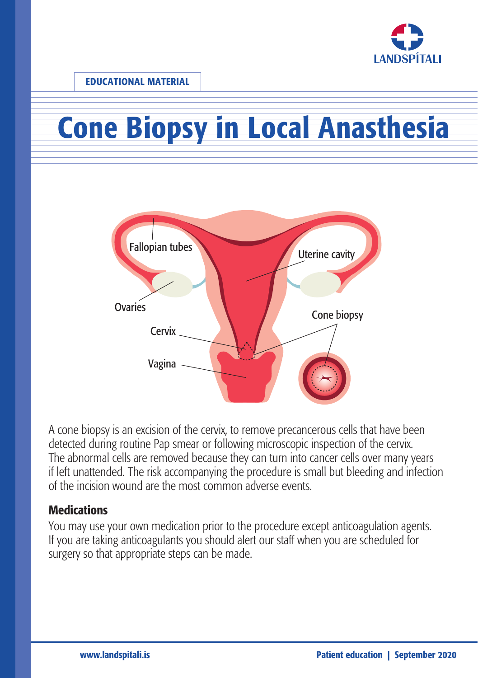

# Cone Biopsy in Local Anasthesia



A cone biopsy is an excision of the cervix, to remove precancerous cells that have been detected during routine Pap smear or following microscopic inspection of the cervix. The abnormal cells are removed because they can turn into cancer cells over many years if left unattended. The risk accompanying the procedure is small but bleeding and infection of the incision wound are the most common adverse events.

#### **Medications**

You may use your own medication prior to the procedure except anticoagulation agents. If you are taking anticoagulants you should alert our staff when you are scheduled for surgery so that appropriate steps can be made.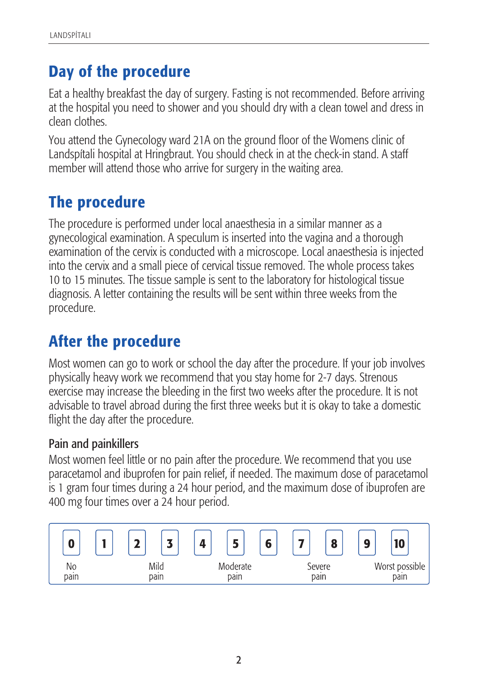## Day of the procedure

Eat a healthy breakfast the day of surgery. Fasting is not recommended. Before arriving at the hospital you need to shower and you should dry with a clean towel and dress in clean clothes.

You attend the Gynecology ward 21A on the ground floor of the Womens clinic of Landspítali hospital at Hringbraut. You should check in at the check-in stand. A staff member will attend those who arrive for surgery in the waiting area.

## The procedure

The procedure is performed under local anaesthesia in a similar manner as a gynecological examination. A speculum is inserted into the vagina and a thorough examination of the cervix is conducted with a microscope. Local anaesthesia is injected into the cervix and a small piece of cervical tissue removed. The whole process takes 10 to 15 minutes. The tissue sample is sent to the laboratory for histological tissue diagnosis. A letter containing the results will be sent within three weeks from the procedure.

## After the procedure

Most women can go to work or school the day after the procedure. If your job involves physically heavy work we recommend that you stay home for 2-7 days. Strenous exercise may increase the bleeding in the first two weeks after the procedure. It is not advisable to travel abroad during the first three weeks but it is okay to take a domestic flight the day after the procedure.

#### Pain and painkillers

Most women feel little or no pain after the procedure. We recommend that you use paracetamol and ibuprofen for pain relief, if needed. The maximum dose of paracetamol is 1 gram four times during a 24 hour period, and the maximum dose of ibuprofen are 400 mg four times over a 24 hour period.

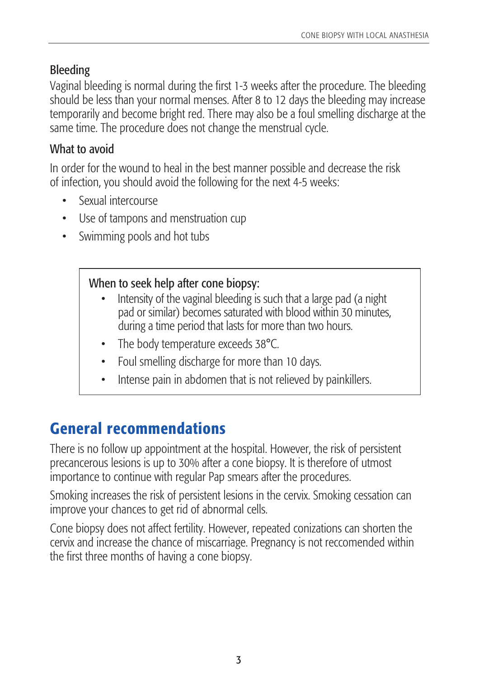## Bleeding

Vaginal bleeding is normal during the first 1-3 weeks after the procedure. The bleeding should be less than your normal menses. After 8 to 12 days the bleeding may increase temporarily and become bright red. There may also be a foul smelling discharge at the same time. The procedure does not change the menstrual cycle.

## What to avoid

In order for the wound to heal in the best manner possible and decrease the risk of infection, you should avoid the following for the next 4-5 weeks:

- Sexual intercourse
- Use of tampons and menstruation cup
- Swimming pools and hot tubs

#### When to seek help after cone biopsy:

- Intensity of the vaginal bleeding is such that a large pad (a night pad or similar) becomes saturated with blood within 30 minutes, during a time period that lasts for more than two hours.
- The body temperature exceeds 38°C.
- Foul smelling discharge for more than 10 days.
- Intense pain in abdomen that is not relieved by painkillers.

# General recommendations

There is no follow up appointment at the hospital. However, the risk of persistent precancerous lesions is up to 30% after a cone biopsy. It is therefore of utmost importance to continue with regular Pap smears after the procedures.

Smoking increases the risk of persistent lesions in the cervix. Smoking cessation can improve your chances to get rid of abnormal cells.

Cone biopsy does not affect fertility. However, repeated conizations can shorten the cervix and increase the chance of miscarriage. Pregnancy is not reccomended within the first three months of having a cone biopsy.